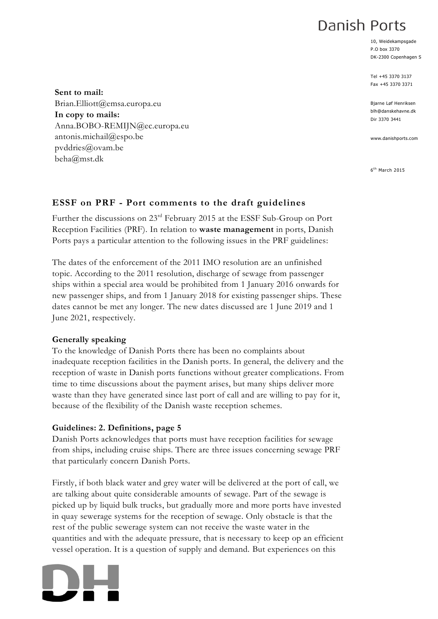# Danish Ports

10, Weidekampsgade P.O box 3370 DK-2300 Copenhagen S

Tel +45 3370 3137 Fax +45 3370 3371

Bjarne Løf Henriksen blh@danskehavne.dk Dir 3370 3441

www.danishports.com

6 th March 2015

#### **Sent to mail:** Brian.Elliott@emsa.europa.eu **In copy to mails:** Anna.BOBO-REMIJN@ec.europa.eu antonis.michail@espo.be pvddries@ovam.be beha@mst.dk

## **ESSF on PRF - Port comments to the draft guidelines**

Further the discussions on 23rd February 2015 at the ESSF Sub-Group on Port Reception Facilities (PRF). In relation to **waste management** in ports, Danish Ports pays a particular attention to the following issues in the PRF guidelines:

The dates of the enforcement of the 2011 IMO resolution are an unfinished topic. According to the 2011 resolution, discharge of sewage from passenger ships within a special area would be prohibited from 1 January 2016 onwards for new passenger ships, and from 1 January 2018 for existing passenger ships. These dates cannot be met any longer. The new dates discussed are 1 June 2019 and 1 June 2021, respectively.

## **Generally speaking**

To the knowledge of Danish Ports there has been no complaints about inadequate reception facilities in the Danish ports. In general, the delivery and the reception of waste in Danish ports functions without greater complications. From time to time discussions about the payment arises, but many ships deliver more waste than they have generated since last port of call and are willing to pay for it, because of the flexibility of the Danish waste reception schemes.

## **Guidelines: 2. Definitions, page 5**

Danish Ports acknowledges that ports must have reception facilities for sewage from ships, including cruise ships. There are three issues concerning sewage PRF that particularly concern Danish Ports.

Firstly, if both black water and grey water will be delivered at the port of call, we are talking about quite considerable amounts of sewage. Part of the sewage is picked up by liquid bulk trucks, but gradually more and more ports have invested in quay sewerage systems for the reception of sewage. Only obstacle is that the rest of the public sewerage system can not receive the waste water in the quantities and with the adequate pressure, that is necessary to keep op an efficient vessel operation. It is a question of supply and demand. But experiences on this

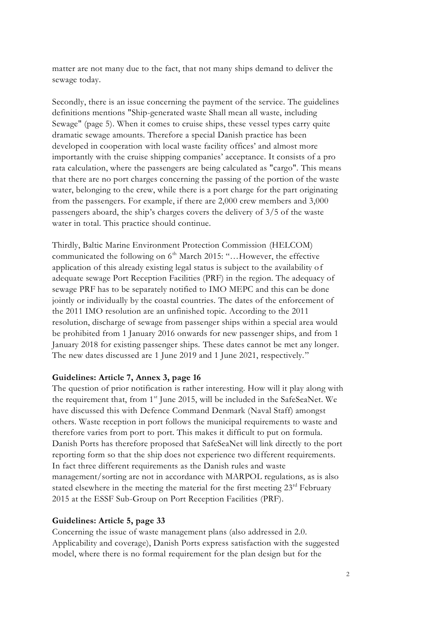matter are not many due to the fact, that not many ships demand to deliver the sewage today.

Secondly, there is an issue concerning the payment of the service. The guidelines definitions mentions "Ship-generated waste Shall mean all waste, including Sewage" (page 5). When it comes to cruise ships, these vessel types carry quite dramatic sewage amounts. Therefore a special Danish practice has been developed in cooperation with local waste facility offices' and almost more importantly with the cruise shipping companies' acceptance. It consists of a pro rata calculation, where the passengers are being calculated as "cargo". This means that there are no port charges concerning the passing of the portion of the waste water, belonging to the crew, while there is a port charge for the part originating from the passengers. For example, if there are 2,000 crew members and 3,000 passengers aboard, the ship's charges covers the delivery of 3/5 of the waste water in total. This practice should continue.

Thirdly, Baltic Marine Environment Protection Commission (HELCOM) communicated the following on  $6<sup>th</sup>$  March 2015: "...However, the effective application of this already existing legal status is subject to the availability of adequate sewage Port Reception Facilities (PRF) in the region. The adequacy of sewage PRF has to be separately notified to IMO MEPC and this can be done jointly or individually by the coastal countries. The dates of the enforcement of the 2011 IMO resolution are an unfinished topic. According to the 2011 resolution, discharge of sewage from passenger ships within a special area would be prohibited from 1 January 2016 onwards for new passenger ships, and from 1 January 2018 for existing passenger ships. These dates cannot be met any longer. The new dates discussed are 1 June 2019 and 1 June 2021, respectively."

#### **Guidelines: Article 7, Annex 3, page 16**

The question of prior notification is rather interesting. How will it play along with the requirement that, from 1<sup>st</sup> June 2015, will be included in the SafeSeaNet. We have discussed this with Defence Command Denmark (Naval Staff) amongst others. Waste reception in port follows the municipal requirements to waste and therefore varies from port to port. This makes it difficult to put on formula. Danish Ports has therefore proposed that SafeSeaNet will link directly to the port reporting form so that the ship does not experience two different requirements. In fact three different requirements as the Danish rules and waste management/sorting are not in accordance with MARPOL regulations, as is also stated elsewhere in the meeting the material for the first meeting  $23<sup>rd</sup>$  February 2015 at the ESSF Sub-Group on Port Reception Facilities (PRF).

#### **Guidelines: Article 5, page 33**

Concerning the issue of waste management plans (also addressed in 2.0. Applicability and coverage), Danish Ports express satisfaction with the suggested model, where there is no formal requirement for the plan design but for the